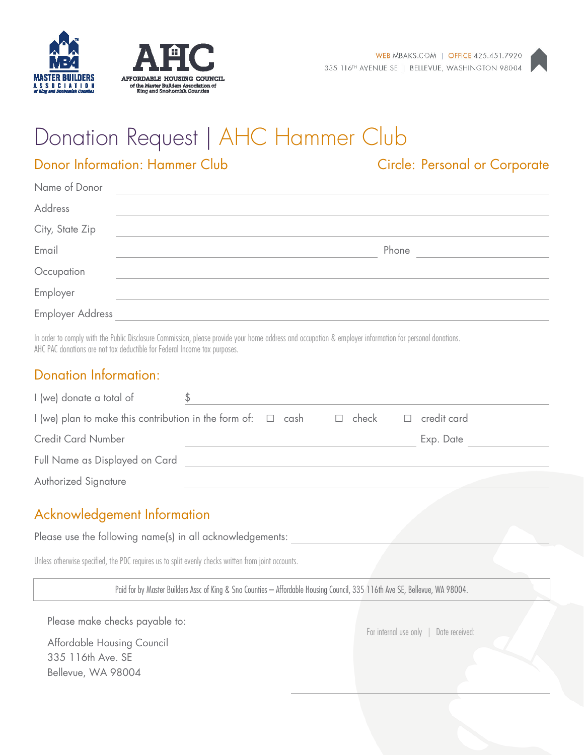





# Donation Request | AHC Hammer Club

# Donor Information: Hammer Club Circle: Personal or Corporate

| Name of Donor           |       |
|-------------------------|-------|
| Address                 |       |
| City, State Zip         |       |
| Email                   | Phone |
| Occupation              |       |
| Employer                |       |
| <b>Employer Address</b> |       |
|                         |       |

In order to comply with the Public Disclosure Commission, please provide your home address and occupation & employer information for personal donations. AHC PAC donations are not tax deductible for Federal Income tax purposes.

#### Donation Information:

| I (we) donate a total of                                                                 |  |  |  |  |             |
|------------------------------------------------------------------------------------------|--|--|--|--|-------------|
| I (we) plan to make this contribution in the form of: $\Box$ cash $\Box$ check<br>$\Box$ |  |  |  |  | credit card |
| <b>Credit Card Number</b>                                                                |  |  |  |  | Exp. Date   |
| Full Name as Displayed on Card                                                           |  |  |  |  |             |
| Authorized Signature                                                                     |  |  |  |  |             |

### Acknowledgement Information

Please use the following name(s) in all acknowledgements:

Unless otherwise specified, the PDC requires us to split evenly checks written from joint accounts.

Paid for by Master Builders Assc of King & Sno Counties – Affordable Housing Council, 335 116th Ave SE, Bellevue, WA 98004.

Please make checks payable to:

Affordable Housing Council 335 116th Ave. SE Bellevue, WA 98004

For internal use only | Date received: